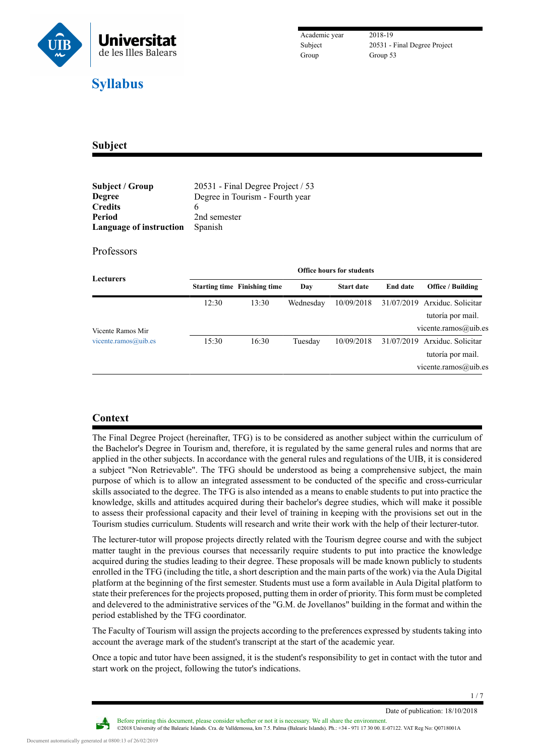

Subject 20531 - Final Degree Project

## **Subject**

| Subject / Group         | 20531 - Final Degree Project / 53 |
|-------------------------|-----------------------------------|
| <b>Degree</b>           | Degree in Tourism - Fourth year   |
| <b>Credits</b>          |                                   |
| Period                  | 2nd semester                      |
| Language of instruction | Spanish                           |

## Professors

| Lecturers            | <b>Office hours for students</b> |                                     |           |                   |                 |                                                                            |
|----------------------|----------------------------------|-------------------------------------|-----------|-------------------|-----------------|----------------------------------------------------------------------------|
|                      |                                  | <b>Starting time Finishing time</b> | Day       | <b>Start date</b> | <b>End date</b> | <b>Office / Building</b>                                                   |
|                      | 12:30                            | 13:30                               | Wednesday | 10/09/2018        |                 | 31/07/2019 Arxiduc. Solicitar<br>tutoría por mail.                         |
| Vicente Ramos Mir    |                                  |                                     |           |                   |                 | vicente.ramos@uib.es                                                       |
| vicente.ramos@uib.es | 15:30                            | 16:30                               | Tuesday   | 10/09/2018        |                 | 31/07/2019 Arxiduc. Solicitar<br>tutoría por mail.<br>vicente.ramos@uib.es |

## **Context**

The Final Degree Project (hereinafter, TFG) is to be considered as another subject within the curriculum of the Bachelor's Degree in Tourism and, therefore, it is regulated by the same general rules and norms that are applied in the other subjects. In accordance with the general rules and regulations of the UIB, it is considered a subject "Non Retrievable". The TFG should be understood as being a comprehensive subject, the main purpose of which is to allow an integrated assessment to be conducted of the specific and cross-curricular skills associated to the degree. The TFG is also intended as a means to enable students to put into practice the knowledge, skills and attitudes acquired during their bachelor's degree studies, which will make it possible to assess their professional capacity and their level of training in keeping with the provisions set out in the Tourism studies curriculum. Students will research and write their work with the help of their lecturer-tutor.

The lecturer-tutor will propose projects directly related with the Tourism degree course and with the subject matter taught in the previous courses that necessarily require students to put into practice the knowledge acquired during the studies leading to their degree. These proposals will be made known publicly to students enrolled in the TFG (including the title, a short description and the main parts of the work) via the Aula Digital platform at the beginning of the first semester. Students must use a form available in Aula Digital platform to state their preferences for the projects proposed, putting them in order of priority. This form must be completed and delevered to the administrative services of the "G.M. de Jovellanos" building in the format and within the period established by the TFG coordinator.

The Faculty of Tourism will assign the projects according to the preferences expressed by students taking into account the average mark of the student's transcript at the start of the academic year.

Once a topic and tutor have been assigned, it is the student's responsibility to get in contact with the tutor and start work on the project, following the tutor's indications.

Date of publication: 18/10/2018

Before printing this document, please consider whether or not it is necessary. We all share the environment. ©2018 University of the Balearic Islands. Cra. de Valldemossa, km 7.5. Palma (Balearic Islands). Ph.: +34 - 971 17 30 00. E-07122. VAT Reg No: Q0718001A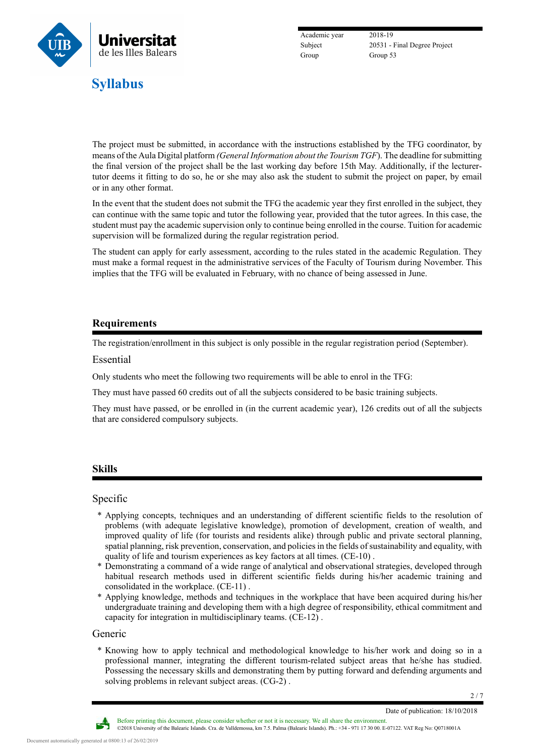

Academic year 2018-19 Group Group 53

Subject 20531 - Final Degree Project

The project must be submitted, in accordance with the instructions established by the TFG coordinator, by means of the Aula Digital platform *(General Information about the Tourism TGF*). The deadline for submitting the final version of the project shall be the last working day before 15th May. Additionally, if the lecturertutor deems it fitting to do so, he or she may also ask the student to submit the project on paper, by email or in any other format.

In the event that the student does not submit the TFG the academic year they first enrolled in the subject, they can continue with the same topic and tutor the following year, provided that the tutor agrees. In this case, the student must pay the academic supervision only to continue being enrolled in the course. Tuition for academic supervision will be formalized during the regular registration period.

The student can apply for early assessment, according to the rules stated in the academic Regulation. They must make a formal request in the administrative services of the Faculty of Tourism during November. This implies that the TFG will be evaluated in February, with no chance of being assessed in June.

## **Requirements**

The registration/enrollment in this subject is only possible in the regular registration period (September).

#### Essential

Only students who meet the following two requirements will be able to enrol in the TFG:

They must have passed 60 credits out of all the subjects considered to be basic training subjects.

They must have passed, or be enrolled in (in the current academic year), 126 credits out of all the subjects that are considered compulsory subjects.

## **Skills**

### Specific

- \* Applying concepts, techniques and an understanding of different scientific fields to the resolution of problems (with adequate legislative knowledge), promotion of development, creation of wealth, and improved quality of life (for tourists and residents alike) through public and private sectoral planning, spatial planning, risk prevention, conservation, and policies in the fields of sustainability and equality, with quality of life and tourism experiences as key factors at all times. (CE-10) .
- \* Demonstrating a command of a wide range of analytical and observational strategies, developed through habitual research methods used in different scientific fields during his/her academic training and consolidated in the workplace. (CE-11) .
- \* Applying knowledge, methods and techniques in the workplace that have been acquired during his/her undergraduate training and developing them with a high degree of responsibility, ethical commitment and capacity for integration in multidisciplinary teams. (CE-12) .

#### Generic

\* Knowing how to apply technical and methodological knowledge to his/her work and doing so in a professional manner, integrating the different tourism-related subject areas that he/she has studied. Possessing the necessary skills and demonstrating them by putting forward and defending arguments and solving problems in relevant subject areas. (CG-2) .

2 / 7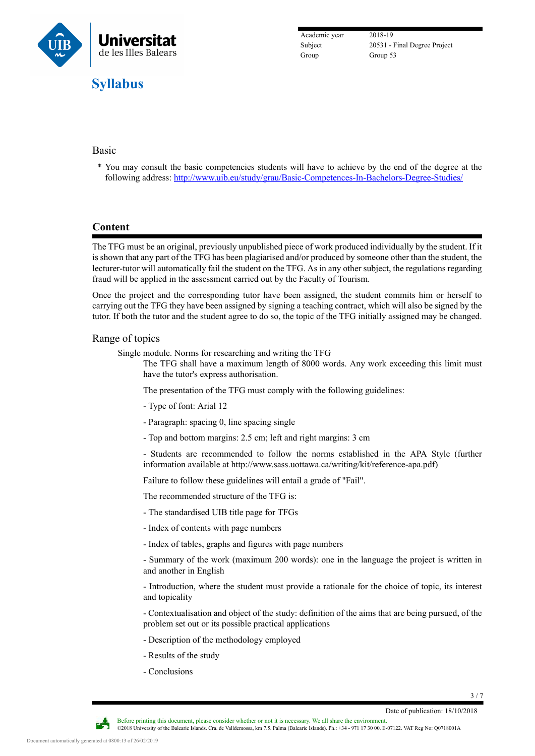

Academic year 2018-19 Group Group 53

Subject 20531 - Final Degree Project

### Basic

\* You may consult the basic competencies students will have to achieve by the end of the degree at the following address: <http://www.uib.eu/study/grau/Basic-Competences-In-Bachelors-Degree-Studies/>

## **Content**

The TFG must be an original, previously unpublished piece of work produced individually by the student. If it is shown that any part of the TFG has been plagiarised and/or produced by someone other than the student, the lecturer-tutor will automatically fail the student on the TFG. As in any other subject, the regulations regarding fraud will be applied in the assessment carried out by the Faculty of Tourism.

Once the project and the corresponding tutor have been assigned, the student commits him or herself to carrying out the TFG they have been assigned by signing a teaching contract, which will also be signed by the tutor. If both the tutor and the student agree to do so, the topic of the TFG initially assigned may be changed.

#### Range of topics

Single module. Norms for researching and writing the TFG

The TFG shall have a maximum length of 8000 words. Any work exceeding this limit must have the tutor's express authorisation.

The presentation of the TFG must comply with the following guidelines:

- Type of font: Arial 12
- Paragraph: spacing 0, line spacing single
- Top and bottom margins: 2.5 cm; left and right margins: 3 cm

- Students are recommended to follow the norms established in the APA Style (further information available at http://www.sass.uottawa.ca/writing/kit/reference-apa.pdf)

Failure to follow these guidelines will entail a grade of "Fail".

The recommended structure of the TFG is:

- The standardised UIB title page for TFGs

- Index of contents with page numbers

- Index of tables, graphs and figures with page numbers

- Summary of the work (maximum 200 words): one in the language the project is written in and another in English

- Introduction, where the student must provide a rationale for the choice of topic, its interest and topicality

- Contextualisation and object of the study: definition of the aims that are being pursued, of the problem set out or its possible practical applications

- Description of the methodology employed
- Results of the study
- Conclusions

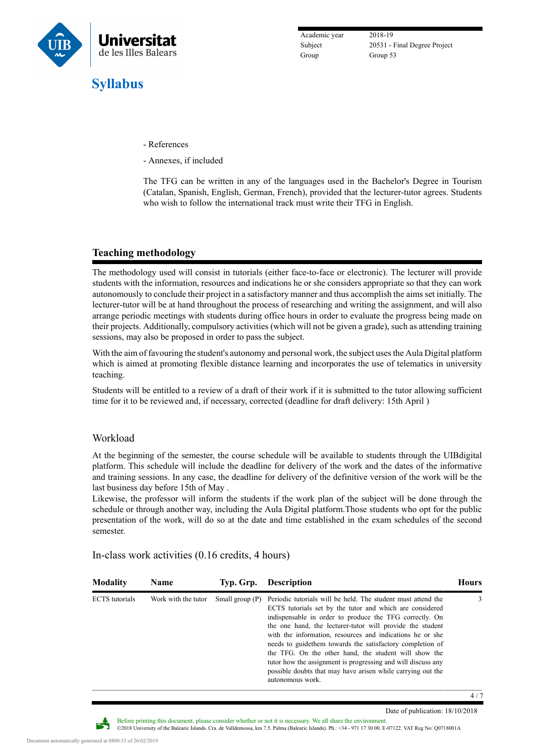

Academic year 2018-19 Group Group 53

Subject 20531 - Final Degree Project

- References
- Annexes, if included

The TFG can be written in any of the languages used in the Bachelor's Degree in Tourism (Catalan, Spanish, English, German, French), provided that the lecturer-tutor agrees. Students who wish to follow the international track must write their TFG in English.

## **Teaching methodology**

The methodology used will consist in tutorials (either face-to-face or electronic). The lecturer will provide students with the information, resources and indications he or she considers appropriate so that they can work autonomously to conclude their project in a satisfactory manner and thus accomplish the aims set initially. The lecturer-tutor will be at hand throughout the process of researching and writing the assignment, and will also arrange periodic meetings with students during office hours in order to evaluate the progress being made on their projects. Additionally, compulsory activities (which will not be given a grade), such as attending training sessions, may also be proposed in order to pass the subject.

With the aim of favouring the student's autonomy and personal work, the subject uses the Aula Digital platform which is aimed at promoting flexible distance learning and incorporates the use of telematics in university teaching.

Students will be entitled to a review of a draft of their work if it is submitted to the tutor allowing sufficient time for it to be reviewed and, if necessary, corrected (deadline for draft delivery: 15th April )

#### Workload

At the beginning of the semester, the course schedule will be available to students through the UIBdigital platform. This schedule will include the deadline for delivery of the work and the dates of the informative and training sessions. In any case, the deadline for delivery of the definitive version of the work will be the last business day before 15th of May .

Likewise, the professor will inform the students if the work plan of the subject will be done through the schedule or through another way, including the Aula Digital platform.Those students who opt for the public presentation of the work, will do so at the date and time established in the exam schedules of the second semester.

| <b>Modality</b>       | <b>Name</b>         | Typ. Grp.         | <b>Description</b>                                                                                                                                                                                                                                                                                                                                                                                                                                                                                                                                                                      | Hours |
|-----------------------|---------------------|-------------------|-----------------------------------------------------------------------------------------------------------------------------------------------------------------------------------------------------------------------------------------------------------------------------------------------------------------------------------------------------------------------------------------------------------------------------------------------------------------------------------------------------------------------------------------------------------------------------------------|-------|
| <b>ECTS</b> tutorials | Work with the tutor | Small group $(P)$ | Periodic tutorials will be held. The student must attend the<br>ECTS tutorials set by the tutor and which are considered<br>indispensable in order to produce the TFG correctly. On<br>the one hand, the lecturer-tutor will provide the student<br>with the information, resources and indications he or she<br>needs to guide them towards the satisfactory completion of<br>the TFG. On the other hand, the student will show the<br>tutor how the assignment is progressing and will discuss any<br>possible doubts that may have arisen while carrying out the<br>autonomous work. | 3     |

In-class work activities (0.16 credits, 4 hours)

4 / 7

Date of publication: 18/10/2018



Before printing this document, please consider whether or not it is necessary. We all share the environment. ©2018 University of the Balearic Islands. Cra. de Valldemossa, km 7.5. Palma (Balearic Islands). Ph.: +34 - 971 17 30 00. E-07122. VAT Reg No: Q0718001A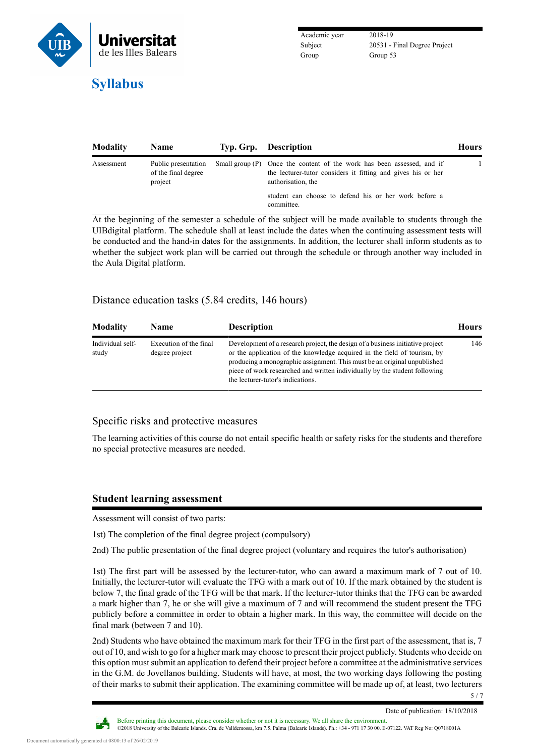

Academic year 2018-19 Group Group 53

Subject 20531 - Final Degree Project

| <b>Modality</b> | <b>Name</b>                                           | Typ. Grp. Description                                                                                                                                        | <b>Hours</b> |
|-----------------|-------------------------------------------------------|--------------------------------------------------------------------------------------------------------------------------------------------------------------|--------------|
| Assessment      | Public presentation<br>of the final degree<br>project | Small group (P) Once the content of the work has been assessed, and if<br>the lecturer-tutor considers it fitting and gives his or her<br>authorisation, the |              |
|                 |                                                       | student can choose to defend his or her work before a<br>committee.                                                                                          |              |

At the beginning of the semester a schedule of the subject will be made available to students through the UIBdigital platform. The schedule shall at least include the dates when the continuing assessment tests will be conducted and the hand-in dates for the assignments. In addition, the lecturer shall inform students as to whether the subject work plan will be carried out through the schedule or through another way included in the Aula Digital platform.

## Distance education tasks (5.84 credits, 146 hours)

| <b>Modality</b>           | <b>Name</b>                              | <b>Description</b>                                                                                                                                                                                                                                                                                                                                        | <b>Hours</b> |
|---------------------------|------------------------------------------|-----------------------------------------------------------------------------------------------------------------------------------------------------------------------------------------------------------------------------------------------------------------------------------------------------------------------------------------------------------|--------------|
| Individual self-<br>study | Execution of the final<br>degree project | Development of a research project, the design of a business initiative project<br>or the application of the knowledge acquired in the field of tourism, by<br>producing a monographic assignment. This must be an original unpublished<br>piece of work researched and written individually by the student following<br>the lecturer-tutor's indications. | 146          |

#### Specific risks and protective measures

The learning activities of this course do not entail specific health or safety risks for the students and therefore no special protective measures are needed.

#### **Student learning assessment**

Assessment will consist of two parts:

1st) The completion of the final degree project (compulsory)

2nd) The public presentation of the final degree project (voluntary and requires the tutor's authorisation)

1st) The first part will be assessed by the lecturer-tutor, who can award a maximum mark of 7 out of 10. Initially, the lecturer-tutor will evaluate the TFG with a mark out of 10. If the mark obtained by the student is below 7, the final grade of the TFG will be that mark. If the lecturer-tutor thinks that the TFG can be awarded a mark higher than 7, he or she will give a maximum of 7 and will recommend the student present the TFG publicly before a committee in order to obtain a higher mark. In this way, the committee will decide on the final mark (between 7 and 10).

2nd) Students who have obtained the maximum mark for their TFG in the first part of the assessment, that is, 7 out of 10, and wish to go for a higher mark may choose to present their project publicly. Students who decide on this option must submit an application to defend their project before a committee at the administrative services in the G.M. de Jovellanos building. Students will have, at most, the two working days following the posting of their marks to submit their application. The examining committee will be made up of, at least, two lecturers



5 / 7

Before printing this document, please consider whether or not it is necessary. We all share the environment. ©2018 University of the Balearic Islands. Cra. de Valldemossa, km 7.5. Palma (Balearic Islands). Ph.: +34 - 971 17 30 00. E-07122. VAT Reg No: Q0718001A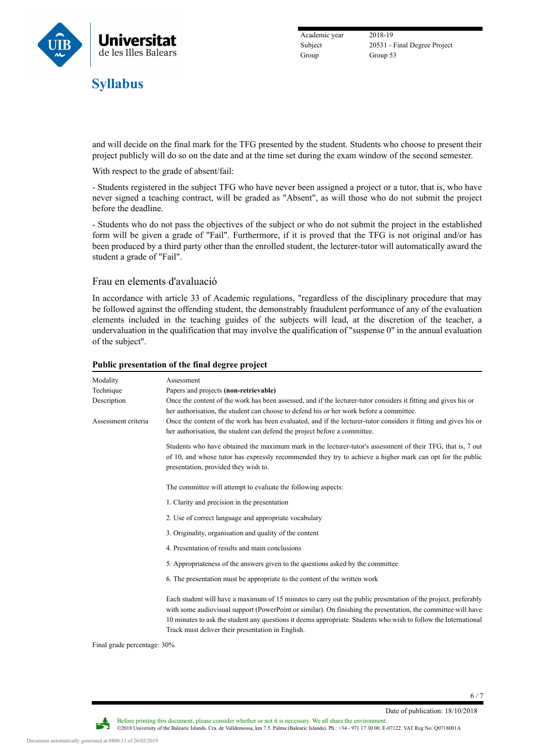

Academic year 2018-19 Group Group 53

Subject 20531 - Final Degree Project

and will decide on the final mark for the TFG presented by the student. Students who choose to present their project publicly will do so on the date and at the time set during the exam window of the second semester.

With respect to the grade of absent/fail:

- Students registered in the subject TFG who have never been assigned a project or a tutor, that is, who have never signed a teaching contract, will be graded as "Absent", as will those who do not submit the project before the deadline.

- Students who do not pass the objectives of the subject or who do not submit the project in the established form will be given a grade of "Fail". Furthermore, if it is proved that the TFG is not original and/or has been produced by a third party other than the enrolled student, the lecturer-tutor will automatically award the student a grade of "Fail".

#### Frau en elements d'avaluació

In accordance with article 33 of [Academic regulations,](https://seu.uib.cat/fou/acord/12741/) "regardless of the disciplinary procedure that may be followed against the offending student, the demonstrably fraudulent performance of any of the evaluation elements included in the teaching guides of the subjects will lead, at the discretion of the teacher, a undervaluation in the qualification that may involve the qualification of "suspense 0" in the annual evaluation of the subject".

| Modality            | Assessment                                                                                                                                                                                                                                                                                                                                                                                              |
|---------------------|---------------------------------------------------------------------------------------------------------------------------------------------------------------------------------------------------------------------------------------------------------------------------------------------------------------------------------------------------------------------------------------------------------|
| Technique           | Papers and projects (non-retrievable)                                                                                                                                                                                                                                                                                                                                                                   |
| Description         | Once the content of the work has been assessed, and if the lecturer-tutor considers it fitting and gives his or                                                                                                                                                                                                                                                                                         |
|                     | her authorisation, the student can choose to defend his or her work before a committee.                                                                                                                                                                                                                                                                                                                 |
| Assessment criteria | Once the content of the work has been evaluated, and if the lecturer-tutor considers it fitting and gives his or<br>her authorisation, the student can defend the project before a committee.                                                                                                                                                                                                           |
|                     | Students who have obtained the maximum mark in the lecturer-tutor's assessment of their TFG, that is, 7 out<br>of 10, and whose tutor has expressly recommended they try to achieve a higher mark can opt for the public<br>presentation, provided they wish to.                                                                                                                                        |
|                     | The committee will attempt to evaluate the following aspects:                                                                                                                                                                                                                                                                                                                                           |
|                     | 1. Clarity and precision in the presentation                                                                                                                                                                                                                                                                                                                                                            |
|                     | 2. Use of correct language and appropriate vocabulary                                                                                                                                                                                                                                                                                                                                                   |
|                     | 3. Originality, organisation and quality of the content                                                                                                                                                                                                                                                                                                                                                 |
|                     | 4. Presentation of results and main conclusions                                                                                                                                                                                                                                                                                                                                                         |
|                     | 5. Appropriateness of the answers given to the questions asked by the committee                                                                                                                                                                                                                                                                                                                         |
|                     | 6. The presentation must be appropriate to the content of the written work                                                                                                                                                                                                                                                                                                                              |
|                     | Each student will have a maximum of 15 minutes to carry out the public presentation of the project, preferably<br>with some audiovisual support (PowerPoint or similar). On finishing the presentation, the committee will have<br>10 minutes to ask the student any questions it deems appropriate. Students who wish to follow the International<br>Track must deliver their presentation in English. |
|                     |                                                                                                                                                                                                                                                                                                                                                                                                         |

#### **Public presentation of the final degree project**

Final grade percentage: 30%